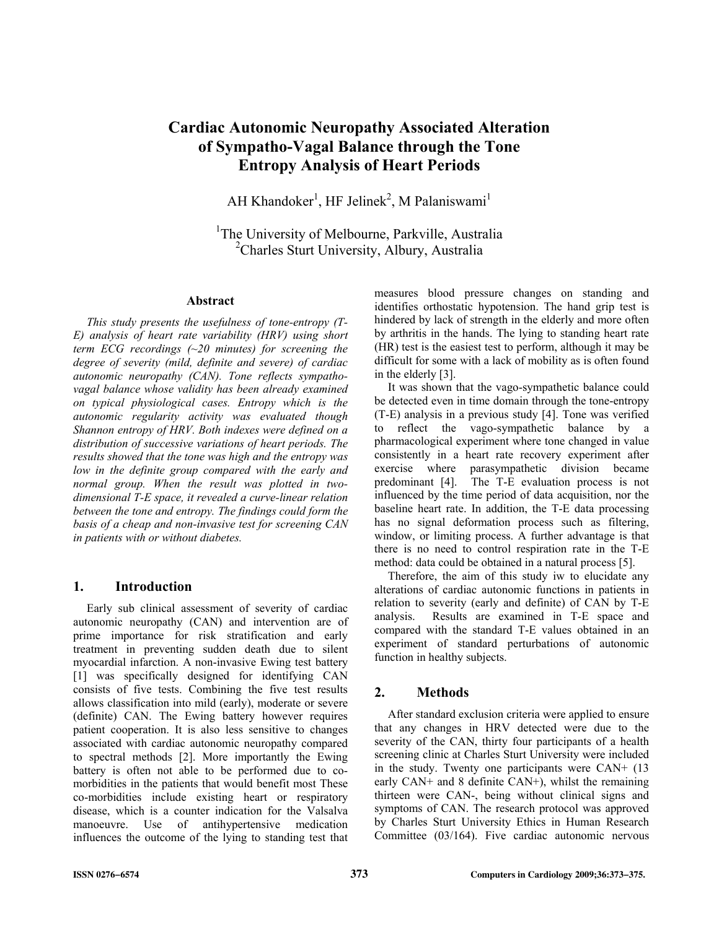# **Cardiac Autonomic Neuropathy Associated Alteration of Sympatho-Vagal Balance through the Tone Entropy Analysis of Heart Periods**

AH Khandoker<sup>1</sup>, HF Jelinek<sup>2</sup>, M Palaniswami<sup>1</sup>

<sup>1</sup>The University of Melbourne, Parkville, Australia <sup>2</sup>Charles Sturt University, Albury, Australia

#### **Abstract**

*This study presents the usefulness of tone-entropy (T-E) analysis of heart rate variability (HRV) using short term ECG recordings (~20 minutes) for screening the degree of severity (mild, definite and severe) of cardiac autonomic neuropathy (CAN). Tone reflects sympathovagal balance whose validity has been already examined on typical physiological cases. Entropy which is the autonomic regularity activity was evaluated though Shannon entropy of HRV. Both indexes were defined on a distribution of successive variations of heart periods. The results showed that the tone was high and the entropy was low in the definite group compared with the early and normal group. When the result was plotted in twodimensional T-E space, it revealed a curve-linear relation between the tone and entropy. The findings could form the basis of a cheap and non-invasive test for screening CAN in patients with or without diabetes.* 

## **1. Introduction**

Early sub clinical assessment of severity of cardiac autonomic neuropathy (CAN) and intervention are of prime importance for risk stratification and early treatment in preventing sudden death due to silent myocardial infarction. A non-invasive Ewing test battery [1] was specifically designed for identifying CAN consists of five tests. Combining the five test results allows classification into mild (early), moderate or severe (definite) CAN. The Ewing battery however requires patient cooperation. It is also less sensitive to changes associated with cardiac autonomic neuropathy compared to spectral methods [2]. More importantly the Ewing battery is often not able to be performed due to comorbidities in the patients that would benefit most These co-morbidities include existing heart or respiratory disease, which is a counter indication for the Valsalva manoeuvre. Use of antihypertensive medication influences the outcome of the lying to standing test that measures blood pressure changes on standing and identifies orthostatic hypotension. The hand grip test is hindered by lack of strength in the elderly and more often by arthritis in the hands. The lying to standing heart rate (HR) test is the easiest test to perform, although it may be difficult for some with a lack of mobility as is often found in the elderly [3].

It was shown that the vago-sympathetic balance could be detected even in time domain through the tone-entropy (T-E) analysis in a previous study [4]. Tone was verified to reflect the vago-sympathetic balance by a pharmacological experiment where tone changed in value consistently in a heart rate recovery experiment after exercise where parasympathetic division became predominant [4]. The T-E evaluation process is not influenced by the time period of data acquisition, nor the baseline heart rate. In addition, the T-E data processing has no signal deformation process such as filtering, window, or limiting process. A further advantage is that there is no need to control respiration rate in the T-E method: data could be obtained in a natural process [5].

Therefore, the aim of this study iw to elucidate any alterations of cardiac autonomic functions in patients in relation to severity (early and definite) of CAN by T-E analysis. Results are examined in T-E space and compared with the standard T-E values obtained in an experiment of standard perturbations of autonomic function in healthy subjects.

## **2. Methods**

After standard exclusion criteria were applied to ensure that any changes in HRV detected were due to the severity of the CAN, thirty four participants of a health screening clinic at Charles Sturt University were included in the study. Twenty one participants were CAN+ (13 early CAN+ and 8 definite CAN+), whilst the remaining thirteen were CAN-, being without clinical signs and symptoms of CAN. The research protocol was approved by Charles Sturt University Ethics in Human Research Committee (03/164). Five cardiac autonomic nervous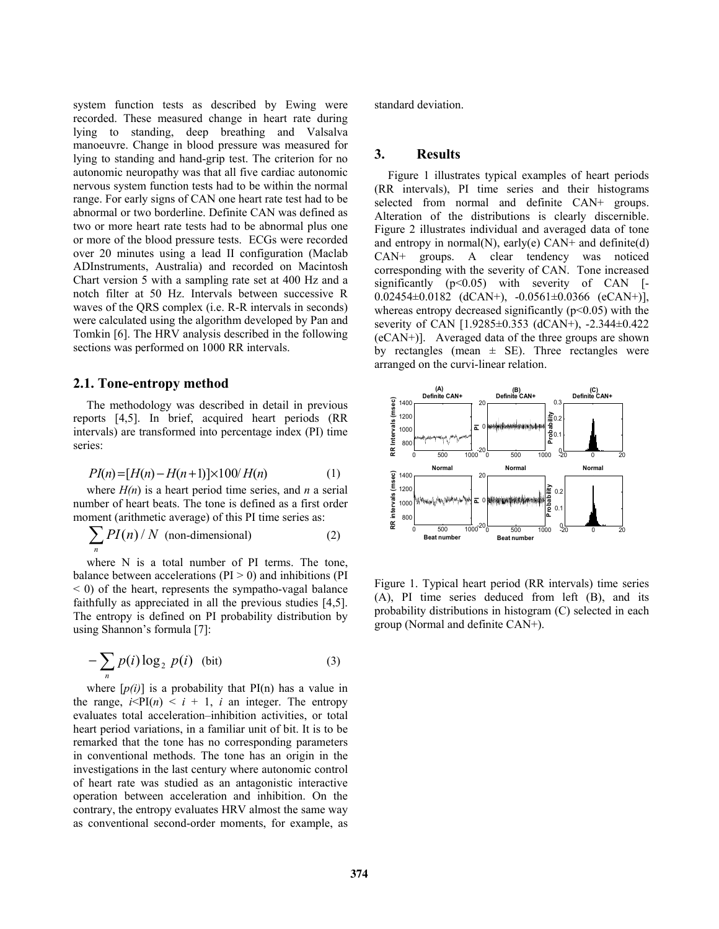system function tests as described by Ewing were recorded. These measured change in heart rate during lying to standing, deep breathing and Valsalva manoeuvre. Change in blood pressure was measured for lying to standing and hand-grip test. The criterion for no autonomic neuropathy was that all five cardiac autonomic nervous system function tests had to be within the normal range. For early signs of CAN one heart rate test had to be abnormal or two borderline. Definite CAN was defined as two or more heart rate tests had to be abnormal plus one or more of the blood pressure tests. ECGs were recorded over 20 minutes using a lead II configuration (Maclab ADInstruments, Australia) and recorded on Macintosh Chart version 5 with a sampling rate set at 400 Hz and a notch filter at 50 Hz. Intervals between successive R waves of the QRS complex (i.e. R-R intervals in seconds) were calculated using the algorithm developed by Pan and Tomkin [6]. The HRV analysis described in the following sections was performed on 1000 RR intervals.

#### **2.1. Tone-entropy method**

The methodology was described in detail in previous reports [4,5]. In brief, acquired heart periods (RR intervals) are transformed into percentage index (PI) time series:

$$
PI(n) = [H(n) - H(n+1)] \times 100/H(n)
$$
 (1)

where  $H(n)$  is a heart period time series, and *n* a serial number of heart beats. The tone is defined as a first order moment (arithmetic average) of this PI time series as:

$$
\sum_{n} PI(n) / N \text{ (non-dimensional)}
$$
 (2)

where N is a total number of PI terms. The tone, balance between accelerations  $(PI > 0)$  and inhibitions  $(PI)$  $(0, 0)$  of the heart, represents the sympatho-vagal balance faithfully as appreciated in all the previous studies [4,5]. The entropy is defined on PI probability distribution by using Shannon's formula [7]:

$$
-\sum_{n} p(i) \log_2 p(i) \quad \text{(bit)} \tag{3}
$$

where  $[p(i)]$  is a probability that  $PI(n)$  has a value in the range,  $i \leq P I(n) \leq i + 1$ , *i* an integer. The entropy evaluates total acceleration–inhibition activities, or total heart period variations, in a familiar unit of bit. It is to be remarked that the tone has no corresponding parameters in conventional methods. The tone has an origin in the investigations in the last century where autonomic control of heart rate was studied as an antagonistic interactive operation between acceleration and inhibition. On the contrary, the entropy evaluates HRV almost the same way as conventional second-order moments, for example, as standard deviation.

## **3. Results**

Figure 1 illustrates typical examples of heart periods (RR intervals), PI time series and their histograms selected from normal and definite CAN+ groups. Alteration of the distributions is clearly discernible. Figure 2 illustrates individual and averaged data of tone and entropy in normal $(N)$ , early $(e)$  CAN+ and definite $(d)$ CAN+ groups. A clear tendency was noticed corresponding with the severity of CAN. Tone increased significantly (p<0.05) with severity of CAN [-0.02454±0.0182 (dCAN+), -0.0561±0.0366 (eCAN+)], whereas entropy decreased significantly  $(p<0.05)$  with the severity of CAN [1.9285±0.353 (dCAN+), -2.344±0.422 (eCAN+)]. Averaged data of the three groups are shown by rectangles (mean  $\pm$  SE). Three rectangles were arranged on the curvi-linear relation.



Figure 1. Typical heart period (RR intervals) time series (A), PI time series deduced from left (B), and its probability distributions in histogram (C) selected in each group (Normal and definite CAN+).